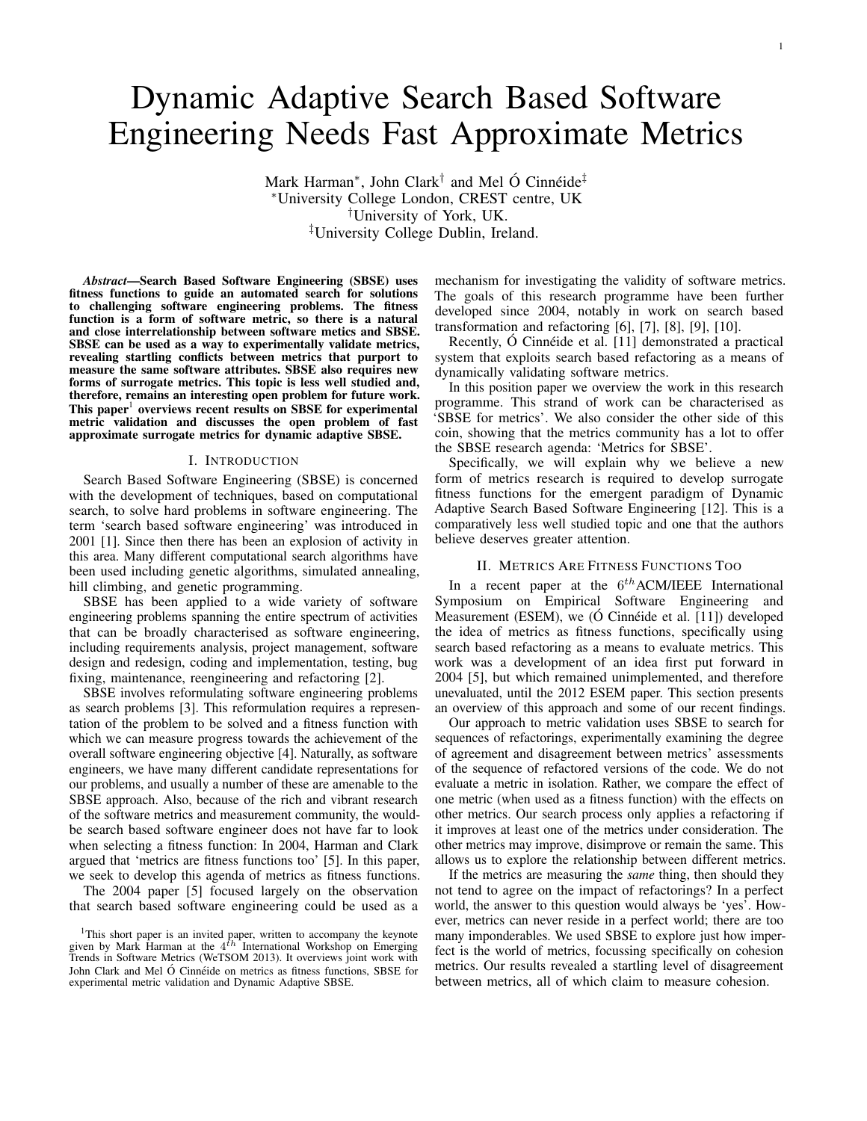# Dynamic Adaptive Search Based Software Engineering Needs Fast Approximate Metrics

Mark Harman $^*$ , John Clark $^\dagger$  and Mel Ó Cinnéide $^\ddagger$ <sup>∗</sup>University College London, CREST centre, UK †University of York, UK. ‡University College Dublin, Ireland.

*Abstract*—Search Based Software Engineering (SBSE) uses fitness functions to guide an automated search for solutions to challenging software engineering problems. The fitness function is a form of software metric, so there is a natural and close interrelationship between software metics and SBSE. SBSE can be used as a way to experimentally validate metrics, revealing startling conflicts between metrics that purport to measure the same software attributes. SBSE also requires new forms of surrogate metrics. This topic is less well studied and, therefore, remains an interesting open problem for future work. This paper<sup>1</sup> overviews recent results on SBSE for experimental metric validation and discusses the open problem of fast approximate surrogate metrics for dynamic adaptive SBSE.

# I. INTRODUCTION

Search Based Software Engineering (SBSE) is concerned with the development of techniques, based on computational search, to solve hard problems in software engineering. The term 'search based software engineering' was introduced in 2001 [1]. Since then there has been an explosion of activity in this area. Many different computational search algorithms have been used including genetic algorithms, simulated annealing, hill climbing, and genetic programming.

SBSE has been applied to a wide variety of software engineering problems spanning the entire spectrum of activities that can be broadly characterised as software engineering, including requirements analysis, project management, software design and redesign, coding and implementation, testing, bug fixing, maintenance, reengineering and refactoring [2].

SBSE involves reformulating software engineering problems as search problems [3]. This reformulation requires a representation of the problem to be solved and a fitness function with which we can measure progress towards the achievement of the overall software engineering objective [4]. Naturally, as software engineers, we have many different candidate representations for our problems, and usually a number of these are amenable to the SBSE approach. Also, because of the rich and vibrant research of the software metrics and measurement community, the wouldbe search based software engineer does not have far to look when selecting a fitness function: In 2004, Harman and Clark argued that 'metrics are fitness functions too' [5]. In this paper, we seek to develop this agenda of metrics as fitness functions.

The 2004 paper [5] focused largely on the observation that search based software engineering could be used as a mechanism for investigating the validity of software metrics. The goals of this research programme have been further developed since 2004, notably in work on search based transformation and refactoring [6], [7], [8], [9], [10].

Recently, Ó Cinnéide et al. [11] demonstrated a practical system that exploits search based refactoring as a means of dynamically validating software metrics.

In this position paper we overview the work in this research programme. This strand of work can be characterised as 'SBSE for metrics'. We also consider the other side of this coin, showing that the metrics community has a lot to offer the SBSE research agenda: 'Metrics for SBSE'.

Specifically, we will explain why we believe a new form of metrics research is required to develop surrogate fitness functions for the emergent paradigm of Dynamic Adaptive Search Based Software Engineering [12]. This is a comparatively less well studied topic and one that the authors believe deserves greater attention.

# II. METRICS ARE FITNESS FUNCTIONS TOO

In a recent paper at the  $6^{th}$ ACM/IEEE International Symposium on Empirical Software Engineering and Measurement (ESEM), we  $(0 \text{ Cinnéide et al. } [11])$  developed the idea of metrics as fitness functions, specifically using search based refactoring as a means to evaluate metrics. This work was a development of an idea first put forward in 2004 [5], but which remained unimplemented, and therefore unevaluated, until the 2012 ESEM paper. This section presents an overview of this approach and some of our recent findings.

Our approach to metric validation uses SBSE to search for sequences of refactorings, experimentally examining the degree of agreement and disagreement between metrics' assessments of the sequence of refactored versions of the code. We do not evaluate a metric in isolation. Rather, we compare the effect of one metric (when used as a fitness function) with the effects on other metrics. Our search process only applies a refactoring if it improves at least one of the metrics under consideration. The other metrics may improve, disimprove or remain the same. This allows us to explore the relationship between different metrics.

If the metrics are measuring the *same* thing, then should they not tend to agree on the impact of refactorings? In a perfect world, the answer to this question would always be 'yes'. However, metrics can never reside in a perfect world; there are too many imponderables. We used SBSE to explore just how imperfect is the world of metrics, focussing specifically on cohesion metrics. Our results revealed a startling level of disagreement between metrics, all of which claim to measure cohesion.

<sup>&</sup>lt;sup>1</sup>This short paper is an invited paper, written to accompany the keynote given by Mark Harman at the  $4^{th}$  International Workshop on Emerging Trends in Software Metrics (WeTSOM 2013). It overviews joint work with John Clark and Mel Ó Cinnéide on metrics as fitness functions, SBSE for experimental metric validation and Dynamic Adaptive SBSE.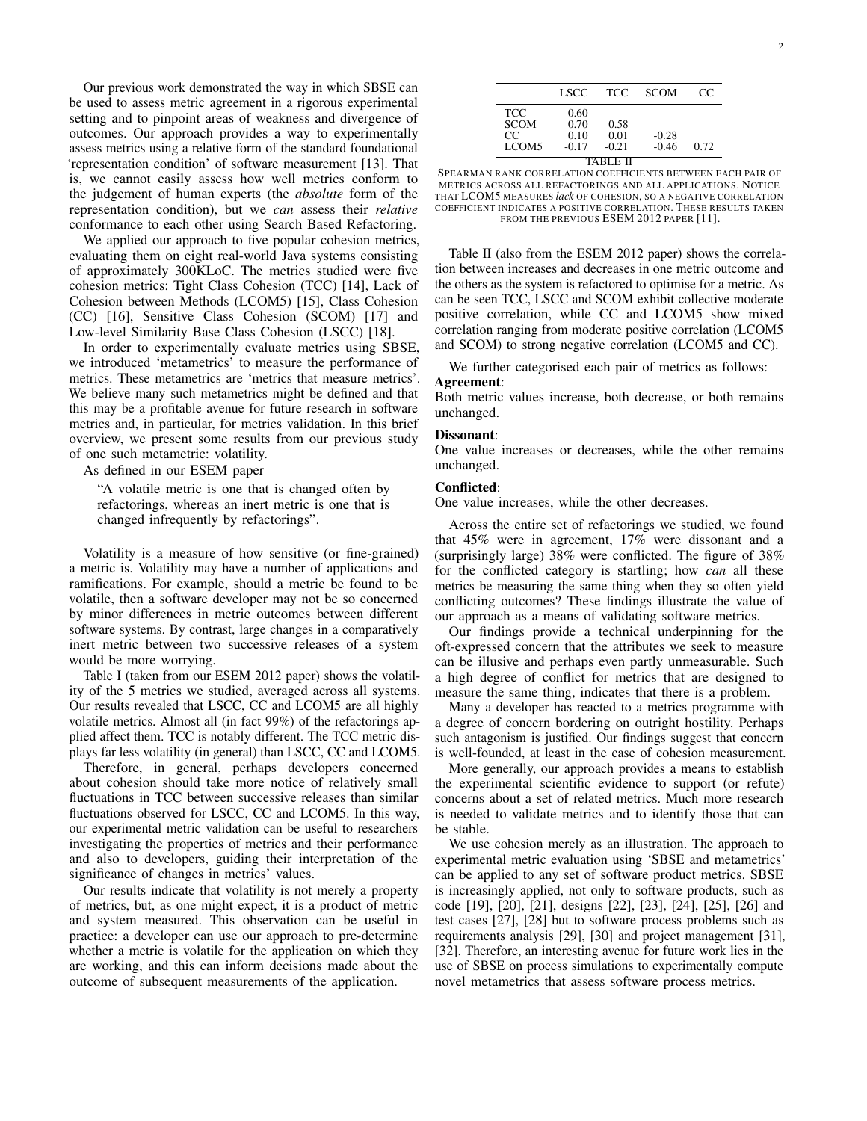Our previous work demonstrated the way in which SBSE can be used to assess metric agreement in a rigorous experimental setting and to pinpoint areas of weakness and divergence of outcomes. Our approach provides a way to experimentally assess metrics using a relative form of the standard foundational 'representation condition' of software measurement [13]. That is, we cannot easily assess how well metrics conform to the judgement of human experts (the *absolute* form of the representation condition), but we *can* assess their *relative* conformance to each other using Search Based Refactoring.

We applied our approach to five popular cohesion metrics, evaluating them on eight real-world Java systems consisting of approximately 300KLoC. The metrics studied were five cohesion metrics: Tight Class Cohesion (TCC) [14], Lack of Cohesion between Methods (LCOM5) [15], Class Cohesion (CC) [16], Sensitive Class Cohesion (SCOM) [17] and Low-level Similarity Base Class Cohesion (LSCC) [18].

In order to experimentally evaluate metrics using SBSE, we introduced 'metametrics' to measure the performance of metrics. These metametrics are 'metrics that measure metrics'. We believe many such metametrics might be defined and that this may be a profitable avenue for future research in software metrics and, in particular, for metrics validation. In this brief overview, we present some results from our previous study of one such metametric: volatility.

As defined in our ESEM paper

"A volatile metric is one that is changed often by refactorings, whereas an inert metric is one that is changed infrequently by refactorings".

Volatility is a measure of how sensitive (or fine-grained) a metric is. Volatility may have a number of applications and ramifications. For example, should a metric be found to be volatile, then a software developer may not be so concerned by minor differences in metric outcomes between different software systems. By contrast, large changes in a comparatively inert metric between two successive releases of a system would be more worrying.

Table I (taken from our ESEM 2012 paper) shows the volatility of the 5 metrics we studied, averaged across all systems. Our results revealed that LSCC, CC and LCOM5 are all highly volatile metrics. Almost all (in fact 99%) of the refactorings applied affect them. TCC is notably different. The TCC metric displays far less volatility (in general) than LSCC, CC and LCOM5.

Therefore, in general, perhaps developers concerned about cohesion should take more notice of relatively small fluctuations in TCC between successive releases than similar fluctuations observed for LSCC, CC and LCOM5. In this way, our experimental metric validation can be useful to researchers investigating the properties of metrics and their performance and also to developers, guiding their interpretation of the significance of changes in metrics' values.

Our results indicate that volatility is not merely a property of metrics, but, as one might expect, it is a product of metric and system measured. This observation can be useful in practice: a developer can use our approach to pre-determine whether a metric is volatile for the application on which they are working, and this can inform decisions made about the outcome of subsequent measurements of the application.

|                    | LSCC         | <b>TCC</b> | <b>SCOM</b> | CC.  |  |  |  |
|--------------------|--------------|------------|-------------|------|--|--|--|
| TCC<br><b>SCOM</b> | 0.60<br>0.70 | 0.58       |             |      |  |  |  |
| CC                 | 0.10         | 0.01       | $-0.28$     |      |  |  |  |
| LCOM5              | $-0.17$      | $-0.21$    | $-0.46$     | 0.72 |  |  |  |
| TABLE II           |              |            |             |      |  |  |  |

SPEARMAN RANK CORRELATION COEFFICIENTS BETWEEN EACH PAIR OF METRICS ACROSS ALL REFACTORINGS AND ALL APPLICATIONS. NOTICE THAT LCOM5 MEASURES *lack* OF COHESION, SO A NEGATIVE CORRELATION COEFFICIENT INDICATES A POSITIVE CORRELATION. THESE RESULTS TAKEN FROM THE PREVIOUS ESEM 2012 PAPER [11].

Table II (also from the ESEM 2012 paper) shows the correlation between increases and decreases in one metric outcome and the others as the system is refactored to optimise for a metric. As can be seen TCC, LSCC and SCOM exhibit collective moderate positive correlation, while CC and LCOM5 show mixed correlation ranging from moderate positive correlation (LCOM5 and SCOM) to strong negative correlation (LCOM5 and CC).

We further categorised each pair of metrics as follows: Agreement:

Both metric values increase, both decrease, or both remains unchanged.

#### Dissonant:

One value increases or decreases, while the other remains unchanged.

### Conflicted:

One value increases, while the other decreases.

Across the entire set of refactorings we studied, we found that 45% were in agreement, 17% were dissonant and a (surprisingly large) 38% were conflicted. The figure of 38% for the conflicted category is startling; how *can* all these metrics be measuring the same thing when they so often yield conflicting outcomes? These findings illustrate the value of our approach as a means of validating software metrics.

Our findings provide a technical underpinning for the oft-expressed concern that the attributes we seek to measure can be illusive and perhaps even partly unmeasurable. Such a high degree of conflict for metrics that are designed to measure the same thing, indicates that there is a problem.

Many a developer has reacted to a metrics programme with a degree of concern bordering on outright hostility. Perhaps such antagonism is justified. Our findings suggest that concern is well-founded, at least in the case of cohesion measurement.

More generally, our approach provides a means to establish the experimental scientific evidence to support (or refute) concerns about a set of related metrics. Much more research is needed to validate metrics and to identify those that can be stable.

We use cohesion merely as an illustration. The approach to experimental metric evaluation using 'SBSE and metametrics' can be applied to any set of software product metrics. SBSE is increasingly applied, not only to software products, such as code [19], [20], [21], designs [22], [23], [24], [25], [26] and test cases [27], [28] but to software process problems such as requirements analysis [29], [30] and project management [31], [32]. Therefore, an interesting avenue for future work lies in the use of SBSE on process simulations to experimentally compute novel metametrics that assess software process metrics.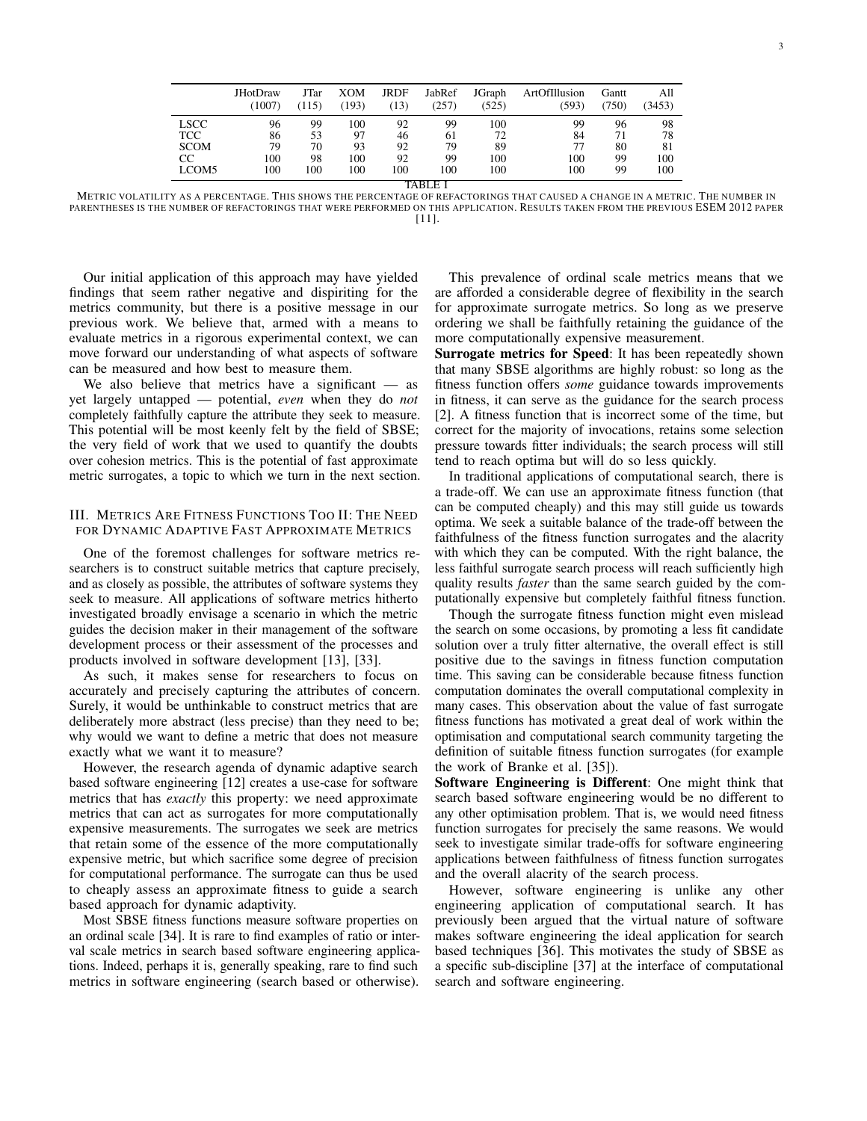| I |   |   | I |
|---|---|---|---|
|   |   |   |   |
|   |   |   | I |
| × | ٠ | I |   |

|             | <b>JHotDraw</b><br>(1007) | JTar<br>(115) | XOM<br>(193) | <b>JRDF</b><br>(13) | JabRef<br>(257) | JGraph<br>(525) | ArtOfIllusion<br>(593) | Gantt<br>(750) | All<br>(3453) |
|-------------|---------------------------|---------------|--------------|---------------------|-----------------|-----------------|------------------------|----------------|---------------|
| <b>LSCC</b> | 96                        | 99            | 100          | 92                  | 99              | 100             | 99                     | 96             | 98            |
| TCC         | 86                        | 53            | 97           | 46                  | 61              | 72              | 84                     | 71             | 78            |
| <b>SCOM</b> | 79                        | 70            | 93           | 92                  | 79              | 89              |                        | 80             | 81            |
| CC          | 100                       | 98            | 100          | 92                  | 99              | 100             | 100                    | 99             | 100           |
| LCOM5       | 100                       | 100           | 100          | 100                 | 100             | 100             | 100                    | 99             | 100           |
| TARIF       |                           |               |              |                     |                 |                 |                        |                |               |

METRIC VOLATILITY AS A PERCENTAGE. THIS SHOWS THE PERCENTAGE OF REFACTORINGS THAT CAUSED A CHANGE IN A METRIC. THE NUMBER IN PARENTHESES IS THE NUMBER OF REFACTORINGS THAT WERE PERFORMED ON THIS APPLICATION. RESULTS TAKEN FROM THE PREVIOUS ESEM 2012 PAPER

[11].

Our initial application of this approach may have yielded findings that seem rather negative and dispiriting for the metrics community, but there is a positive message in our previous work. We believe that, armed with a means to evaluate metrics in a rigorous experimental context, we can move forward our understanding of what aspects of software can be measured and how best to measure them.

We also believe that metrics have a significant — as yet largely untapped — potential, *even* when they do *not* completely faithfully capture the attribute they seek to measure. This potential will be most keenly felt by the field of SBSE; the very field of work that we used to quantify the doubts over cohesion metrics. This is the potential of fast approximate metric surrogates, a topic to which we turn in the next section.

# III. METRICS ARE FITNESS FUNCTIONS TOO II: THE NEED FOR DYNAMIC ADAPTIVE FAST APPROXIMATE METRICS

One of the foremost challenges for software metrics researchers is to construct suitable metrics that capture precisely, and as closely as possible, the attributes of software systems they seek to measure. All applications of software metrics hitherto investigated broadly envisage a scenario in which the metric guides the decision maker in their management of the software development process or their assessment of the processes and products involved in software development [13], [33].

As such, it makes sense for researchers to focus on accurately and precisely capturing the attributes of concern. Surely, it would be unthinkable to construct metrics that are deliberately more abstract (less precise) than they need to be; why would we want to define a metric that does not measure exactly what we want it to measure?

However, the research agenda of dynamic adaptive search based software engineering [12] creates a use-case for software metrics that has *exactly* this property: we need approximate metrics that can act as surrogates for more computationally expensive measurements. The surrogates we seek are metrics that retain some of the essence of the more computationally expensive metric, but which sacrifice some degree of precision for computational performance. The surrogate can thus be used to cheaply assess an approximate fitness to guide a search based approach for dynamic adaptivity.

Most SBSE fitness functions measure software properties on an ordinal scale [34]. It is rare to find examples of ratio or interval scale metrics in search based software engineering applications. Indeed, perhaps it is, generally speaking, rare to find such metrics in software engineering (search based or otherwise).

This prevalence of ordinal scale metrics means that we are afforded a considerable degree of flexibility in the search for approximate surrogate metrics. So long as we preserve ordering we shall be faithfully retaining the guidance of the more computationally expensive measurement.

Surrogate metrics for Speed: It has been repeatedly shown that many SBSE algorithms are highly robust: so long as the fitness function offers *some* guidance towards improvements in fitness, it can serve as the guidance for the search process [2]. A fitness function that is incorrect some of the time, but correct for the majority of invocations, retains some selection pressure towards fitter individuals; the search process will still tend to reach optima but will do so less quickly.

In traditional applications of computational search, there is a trade-off. We can use an approximate fitness function (that can be computed cheaply) and this may still guide us towards optima. We seek a suitable balance of the trade-off between the faithfulness of the fitness function surrogates and the alacrity with which they can be computed. With the right balance, the less faithful surrogate search process will reach sufficiently high quality results *faster* than the same search guided by the computationally expensive but completely faithful fitness function.

Though the surrogate fitness function might even mislead the search on some occasions, by promoting a less fit candidate solution over a truly fitter alternative, the overall effect is still positive due to the savings in fitness function computation time. This saving can be considerable because fitness function computation dominates the overall computational complexity in many cases. This observation about the value of fast surrogate fitness functions has motivated a great deal of work within the optimisation and computational search community targeting the definition of suitable fitness function surrogates (for example the work of Branke et al. [35]).

Software Engineering is Different: One might think that search based software engineering would be no different to any other optimisation problem. That is, we would need fitness function surrogates for precisely the same reasons. We would seek to investigate similar trade-offs for software engineering applications between faithfulness of fitness function surrogates and the overall alacrity of the search process.

However, software engineering is unlike any other engineering application of computational search. It has previously been argued that the virtual nature of software makes software engineering the ideal application for search based techniques [36]. This motivates the study of SBSE as a specific sub-discipline [37] at the interface of computational search and software engineering.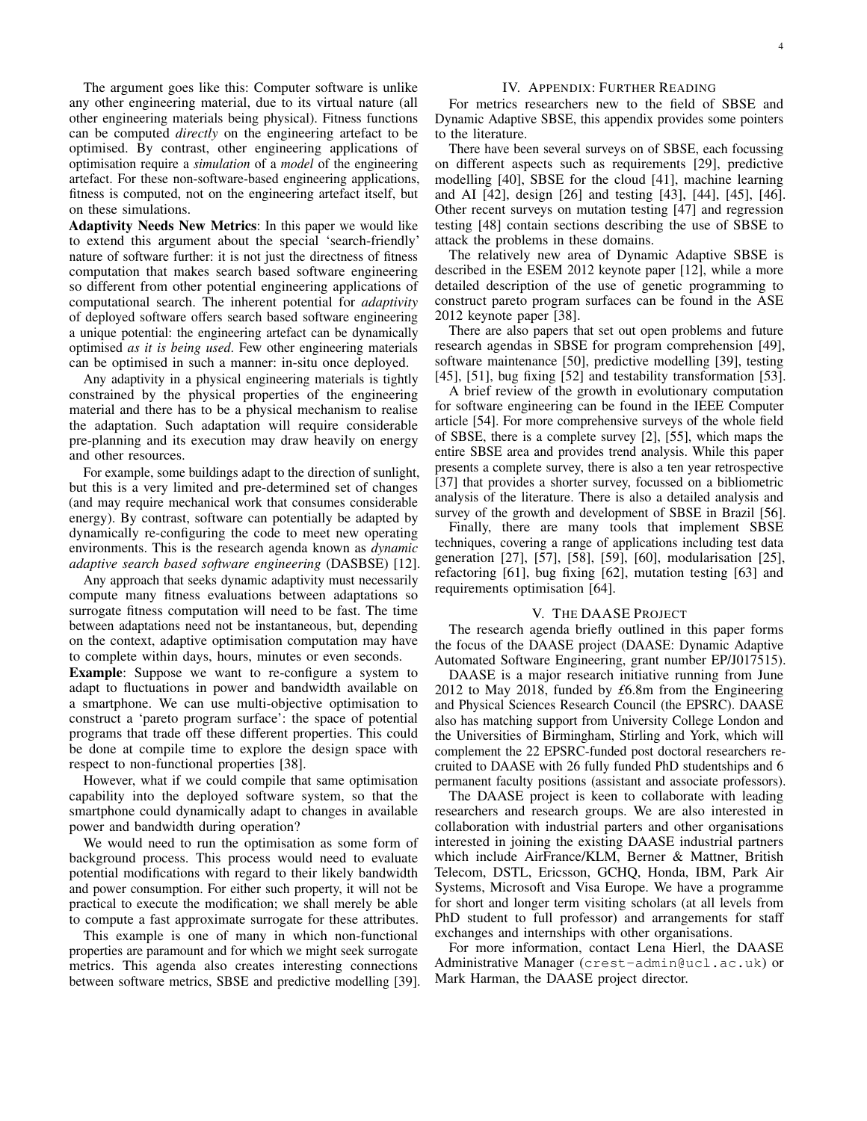The argument goes like this: Computer software is unlike any other engineering material, due to its virtual nature (all other engineering materials being physical). Fitness functions can be computed *directly* on the engineering artefact to be optimised. By contrast, other engineering applications of optimisation require a *simulation* of a *model* of the engineering artefact. For these non-software-based engineering applications, fitness is computed, not on the engineering artefact itself, but on these simulations.

Adaptivity Needs New Metrics: In this paper we would like to extend this argument about the special 'search-friendly' nature of software further: it is not just the directness of fitness computation that makes search based software engineering so different from other potential engineering applications of computational search. The inherent potential for *adaptivity* of deployed software offers search based software engineering a unique potential: the engineering artefact can be dynamically optimised *as it is being used*. Few other engineering materials can be optimised in such a manner: in-situ once deployed.

Any adaptivity in a physical engineering materials is tightly constrained by the physical properties of the engineering material and there has to be a physical mechanism to realise the adaptation. Such adaptation will require considerable pre-planning and its execution may draw heavily on energy and other resources.

For example, some buildings adapt to the direction of sunlight, but this is a very limited and pre-determined set of changes (and may require mechanical work that consumes considerable energy). By contrast, software can potentially be adapted by dynamically re-configuring the code to meet new operating environments. This is the research agenda known as *dynamic adaptive search based software engineering* (DASBSE) [12].

Any approach that seeks dynamic adaptivity must necessarily compute many fitness evaluations between adaptations so surrogate fitness computation will need to be fast. The time between adaptations need not be instantaneous, but, depending on the context, adaptive optimisation computation may have to complete within days, hours, minutes or even seconds.

Example: Suppose we want to re-configure a system to adapt to fluctuations in power and bandwidth available on a smartphone. We can use multi-objective optimisation to construct a 'pareto program surface': the space of potential programs that trade off these different properties. This could be done at compile time to explore the design space with respect to non-functional properties [38].

However, what if we could compile that same optimisation capability into the deployed software system, so that the smartphone could dynamically adapt to changes in available power and bandwidth during operation?

We would need to run the optimisation as some form of background process. This process would need to evaluate potential modifications with regard to their likely bandwidth and power consumption. For either such property, it will not be practical to execute the modification; we shall merely be able to compute a fast approximate surrogate for these attributes.

This example is one of many in which non-functional properties are paramount and for which we might seek surrogate metrics. This agenda also creates interesting connections between software metrics, SBSE and predictive modelling [39].

#### IV. APPENDIX: FURTHER READING

For metrics researchers new to the field of SBSE and Dynamic Adaptive SBSE, this appendix provides some pointers to the literature.

There have been several surveys on of SBSE, each focussing on different aspects such as requirements [29], predictive modelling [40], SBSE for the cloud [41], machine learning and AI [42], design [26] and testing [43], [44], [45], [46]. Other recent surveys on mutation testing [47] and regression testing [48] contain sections describing the use of SBSE to attack the problems in these domains.

The relatively new area of Dynamic Adaptive SBSE is described in the ESEM 2012 keynote paper [12], while a more detailed description of the use of genetic programming to construct pareto program surfaces can be found in the ASE 2012 keynote paper [38].

There are also papers that set out open problems and future research agendas in SBSE for program comprehension [49], software maintenance [50], predictive modelling [39], testing [45], [51], bug fixing [52] and testability transformation [53].

A brief review of the growth in evolutionary computation for software engineering can be found in the IEEE Computer article [54]. For more comprehensive surveys of the whole field of SBSE, there is a complete survey [2], [55], which maps the entire SBSE area and provides trend analysis. While this paper presents a complete survey, there is also a ten year retrospective [37] that provides a shorter survey, focussed on a bibliometric analysis of the literature. There is also a detailed analysis and survey of the growth and development of SBSE in Brazil [56].

Finally, there are many tools that implement SBSE techniques, covering a range of applications including test data generation [27], [57], [58], [59], [60], modularisation [25], refactoring [61], bug fixing [62], mutation testing [63] and requirements optimisation [64].

# V. THE DAASE PROJECT

The research agenda briefly outlined in this paper forms the focus of the DAASE project (DAASE: Dynamic Adaptive Automated Software Engineering, grant number EP/J017515).

DAASE is a major research initiative running from June 2012 to May 2018, funded by *£*6.8m from the Engineering and Physical Sciences Research Council (the EPSRC). DAASE also has matching support from University College London and the Universities of Birmingham, Stirling and York, which will complement the 22 EPSRC-funded post doctoral researchers recruited to DAASE with 26 fully funded PhD studentships and 6 permanent faculty positions (assistant and associate professors).

The DAASE project is keen to collaborate with leading researchers and research groups. We are also interested in collaboration with industrial parters and other organisations interested in joining the existing DAASE industrial partners which include AirFrance/KLM, Berner & Mattner, British Telecom, DSTL, Ericsson, GCHQ, Honda, IBM, Park Air Systems, Microsoft and Visa Europe. We have a programme for short and longer term visiting scholars (at all levels from PhD student to full professor) and arrangements for staff exchanges and internships with other organisations.

For more information, contact Lena Hierl, the DAASE Administrative Manager (crest-admin@ucl.ac.uk) or Mark Harman, the DAASE project director.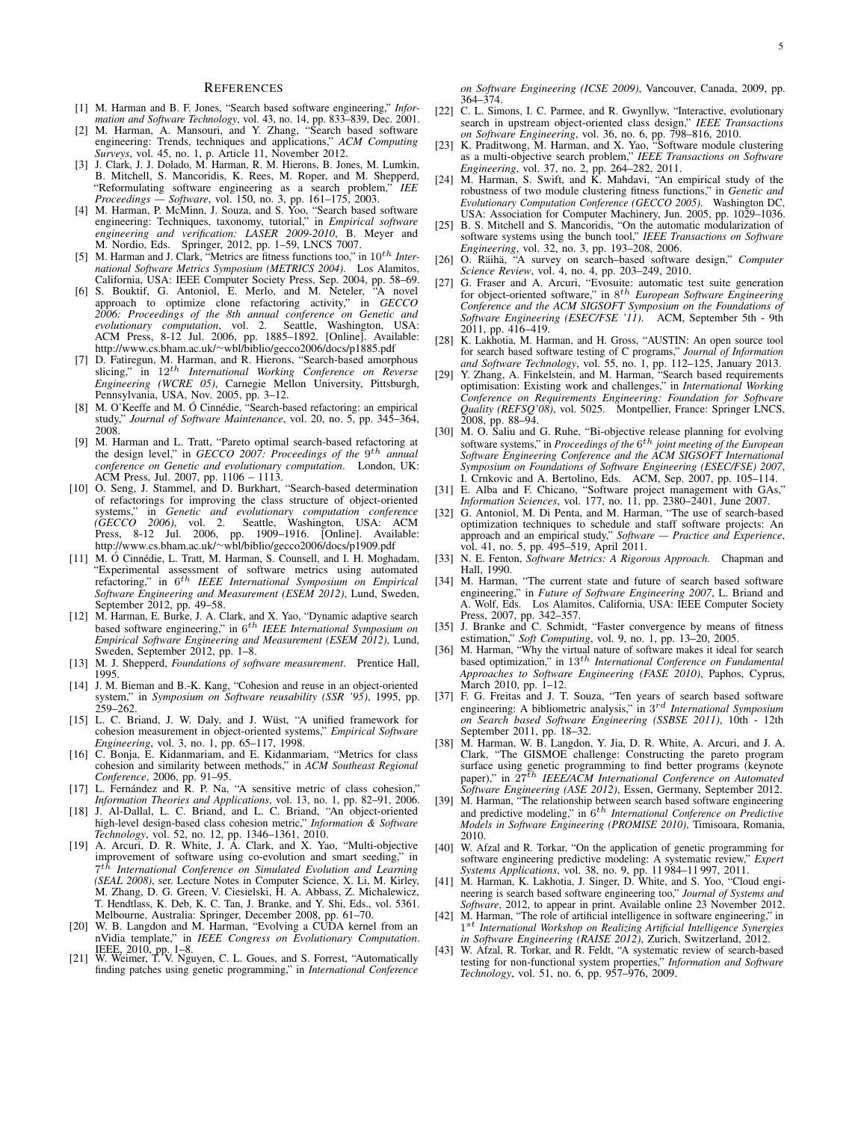#### **REFERENCES**

- [1] M. Harman and B. F. Jones, "Search based software engineering," *Information and Software Technology*, vol. 43, no. 14, pp. 833–839, Dec. 2001.
- [2] M. Harman, A. Mansouri, and Y. Zhang, "Search based software engineering: Trends, techniques and applications," *ACM Computing Surveys*, vol. 45, no. 1, p. Article 11, November 2012.
- [3] J. Clark, J. J. Dolado, M. Harman, R. M. Hierons, B. Jones, M. Lumkin, B. Mitchell, S. Mancoridis, K. Rees, M. Roper, and M. Shepperd, "Reformulating software engineering as a search problem," *IEE Proceedings — Software*, vol. 150, no. 3, pp. 161–175, 2003.
- [4] M. Harman, P. McMinn, J. Souza, and S. Yoo, "Search based software engineering: Techniques, taxonomy, tutorial," in *Empirical software engineering and verification: LASER 2009-2010*, B. Meyer and M. Nordio, Eds. Springer, 2012, pp. 1–59, LNCS 7007.
- [5] M. Harman and J. Clark, "Metrics are fitness functions too," in  $10^{th}$  *International Software Metrics Symposium (METRICS 2004)*. Los Alamitos, California, USA: IEEE Computer Society Press, Sep. 2004, pp. 58–69.
- [6] S. Bouktif, G. Antoniol, E. Merlo, and M. Neteler, approach to optimize clone refactoring activity," in *GECCO 2006: Proceedings of the 8th annual conference on Genetic and evolutionary computation*, vol. 2. Seattle, Washington, USA: ACM Press, 8-12 Jul. 2006, pp. 1885–1892. [Online]. Available: http://www.cs.bham.ac.uk/∼wbl/biblio/gecco2006/docs/p1885.pdf
- [7] D. Fatiregun, M. Harman, and R. Hierons, "Search-based amorphous slicing," in 12th *International Working Conference on Reverse Engineering (WCRE 05)*, Carnegie Mellon University, Pittsburgh, Pennsylvania, USA, Nov. 2005, pp. 3–12.
- [8] M. O'Keeffe and M. Ó Cinnédie, "Search-based refactoring: an empirical study," *Journal of Software Maintenance*, vol. 20, no. 5, pp. 345–364, 2008.
- [9] M. Harman and L. Tratt, "Pareto optimal search-based refactoring at the design level," in *GECCO 2007*: Proceedings of the 9<sup>th</sup> annual *conference on Genetic and evolutionary computation*. London, UK: ACM Press, Jul. 2007, pp. 1106 – 1113.
- [10] O. Seng, J. Stammel, and D. Burkhart, "Search-based determination of refactorings for improving the class structure of object-oriented systems," in *Genetic and evolutionary computation conference (GECCO 2006)*, vol. 2. Seattle, Washington, USA: ACM Press, 8-12 Jul. 2006, pp. 1909–1916. [Online]. Available: http://www.cs.bham.ac.uk/∼wbl/biblio/gecco2006/docs/p1909.pdf
- [11] M. Ó Cinnédie, L. Tratt, M. Harman, S. Counsell, and I. H. Moghadam, "Experimental assessment of software metrics using automated refactoring," in 6 th *IEEE International Symposium on Empirical Software Engineering and Measurement (ESEM 2012)*, Lund, Sweden, September 2012, pp. 49–58.
- [12] M. Harman, E. Burke, J. A. Clark, and X. Yao, "Dynamic adaptive search based software engineering," in 6 th *IEEE International Symposium on Empirical Software Engineering and Measurement (ESEM 2012)*, Lund, Sweden, September 2012, pp. 1–8.
- [13] M. J. Shepperd, *Foundations of software measurement*. Prentice Hall, 1995.
- [14] J. M. Bieman and B.-K. Kang, "Cohesion and reuse in an object-oriented system," in *Symposium on Software reusability (SSR '95)*, 1995, pp. 259–262.
- [15] L. C. Briand, J. W. Daly, and J. Wüst, "A unified framework for cohesion measurement in object-oriented systems," *Empirical Software Engineering*, vol. 3, no. 1, pp. 65–117, 1998.
- [16] C. Bonja, E. Kidanmariam, and E. Kidanmariam, "Metrics for class cohesion and similarity between methods," in *ACM Southeast Regional Conference*, 2006, pp. 91–95.
- [17] L. Fernández and R. P. Na, "A sensitive metric of class cohesion," *Information Theories and Applications*, vol. 13, no. 1, pp. 82–91, 2006.
- [18] J. Al-Dallal, L. C. Briand, and L. C. Briand, "An object-oriented high-level design-based class cohesion metric," *Information & Software Technology*, vol. 52, no. 12, pp. 1346–1361, 2010.
- [19] A. Arcuri, D. R. White, J. A. Clark, and X. Yao, "Multi-objective improvement of software using co-evolution and smart seeding," in 7 th *International Conference on Simulated Evolution and Learning (SEAL 2008)*, ser. Lecture Notes in Computer Science, X. Li, M. Kirley, M. Zhang, D. G. Green, V. Ciesielski, H. A. Abbass, Z. Michalewicz, T. Hendtlass, K. Deb, K. C. Tan, J. Branke, and Y. Shi, Eds., vol. 5361. Melbourne, Australia: Springer, December 2008, pp. 61–70.
- [20] W. B. Langdon and M. Harman, "Evolving a CUDA kernel from an nVidia template," in *IEEE Congress on Evolutionary Computation*.
- IEEE, 2010, pp. 1–8. [21] W. Weimer, T. V. Nguyen, C. L. Goues, and S. Forrest, "Automatically finding patches using genetic programming," in *International Conference*

*on Software Engineering (ICSE 2009)*, Vancouver, Canada, 2009, pp. 364–374.

- [22] C. L. Simons, I. C. Parmee, and R. Gwynllyw, "Interactive, evolutionary search in upstream object-oriented class design," *IEEE Transactions on Software Engineering*, vol. 36, no. 6, pp. 798–816, 2010.
- [23] K. Praditwong, M. Harman, and X. Yao, "Software module clustering as a multi-objective search problem," *IEEE Transactions on Software Engineering*, vol. 37, no. 2, pp. 264–282, 2011.
- [24] M. Harman, S. Swift, and K. Mahdavi, "An empirical study of the robustness of two module clustering fitness functions," in *Genetic and Evolutionary Computation Conference (GECCO 2005)*. Washington DC, USA: Association for Computer Machinery, Jun. 2005, pp. 1029–1036.
- [25] B. S. Mitchell and S. Mancoridis, "On the automatic modularization of software systems using the bunch tool," *IEEE Transactions on Software Engineering*, vol. 32, no. 3, pp. 193–208, 2006.
- [26] O. Räihä, "A survey on search-based software design," Computer *Science Review*, vol. 4, no. 4, pp. 203–249, 2010.
- [27] G. Fraser and A. Arcuri, "Evosuite: automatic test suite generation for object-oriented software," in 8<sup>th</sup> European Software Engineering *Conference and the ACM SIGSOFT Symposium on the Foundations of Software Engineering (ESEC/FSE '11)*. ACM, September 5th - 9th 2011, pp. 416–419.
- [28] K. Lakhotia, M. Harman, and H. Gross, "AUSTIN: An open source tool for search based software testing of C programs," *Journal of Information and Software Technology*, vol. 55, no. 1, pp. 112–125, January 2013.
- [29] Y. Zhang, A. Finkelstein, and M. Harman, "Search based requirements optimisation: Existing work and challenges," in *International Working Conference on Requirements Engineering: Foundation for Software Quality (REFSQ'08)*, vol. 5025. Montpellier, France: Springer LNCS, 2008, pp. 88–94.
- [30] M. O. Saliu and G. Ruhe, "Bi-objective release planning for evolving software systems," in *Proceedings of the* 6<sup>th</sup> joint meeting of the European *Software Engineering Conference and the ACM SIGSOFT International Symposium on Foundations of Software Engineering (ESEC/FSE) 2007*, I. Crnkovic and A. Bertolino, Eds. ACM, Sep. 2007, pp. 105–114.
- [31] E. Alba and F. Chicano, "Software project management with GAs," *Information Sciences*, vol. 177, no. 11, pp. 2380–2401, June 2007.
- [32] G. Antoniol, M. Di Penta, and M. Harman, "The use of search-based optimization techniques to schedule and staff software projects: An approach and an empirical study," *Software — Practice and Experience*, vol. 41, no. 5, pp. 495–519, April 2011.
- [33] N. E. Fenton, *Software Metrics: A Rigorous Approach*. Chapman and Hall, 1990.
- [34] M. Harman, "The current state and future of search based software engineering," in *Future of Software Engineering 2007*, L. Briand and A. Wolf, Eds. Los Alamitos, California, USA: IEEE Computer Society Press, 2007, pp. 342–357.
- [35] J. Branke and C. Schmidt, "Faster convergence by means of fitness estimation," *Soft Computing*, vol. 9, no. 1, pp. 13–20, 2005.
- [36] M. Harman, "Why the virtual nature of software makes it ideal for search based optimization," in 13th *International Conference on Fundamental Approaches to Software Engineering (FASE 2010)*, Paphos, Cyprus, March 2010, pp. 1–12.
- [37] F. G. Freitas and J. T. Souza, "Ten years of search based software engineering: A bibliometric analysis," in 3<sup>rd</sup> International Symposium *on Search based Software Engineering (SSBSE 2011)*, 10th - 12th September 2011, pp. 18–32.
- [38] M. Harman, W. B. Langdon, Y. Jia, D. R. White, A. Arcuri, and J. A. Clark, "The GISMOE challenge: Constructing the pareto program surface using genetic programming to find better programs (keynote paper)," in 27<sup>th</sup> *IEEE/ACM International Conference on Automated Software Engineering (ASE 2012)*, Essen, Germany, September 2012.
- [39] M. Harman, "The relationship between search based software engineering and predictive modeling," in 6<sup>th</sup> International Conference on Predictive *Models in Software Engineering (PROMISE 2010)*, Timisoara, Romania, 2010.
- [40] W. Afzal and R. Torkar, "On the application of genetic programming for software engineering predictive modeling: A systematic review," *Expert Systems Applications*, vol. 38, no. 9, pp. 11 984–11 997, 2011.
- [41] M. Harman, K. Lakhotia, J. Singer, D. White, and S. Yoo, "Cloud engineering is search based software engineering too," *Journal of Systems and Software*, 2012, to appear in print. Available online 23 November 2012.
- [42] M. Harman, "The role of artificial intelligence in software engineering," in 1 st *International Workshop on Realizing Artificial Intelligence Synergies in Software Engineering (RAISE 2012)*, Zurich, Switzerland, 2012.
- [43] W. Afzal, R. Torkar, and R. Feldt, "A systematic review of search-based testing for non-functional system properties," *Information and Software Technology*, vol. 51, no. 6, pp. 957–976, 2009.